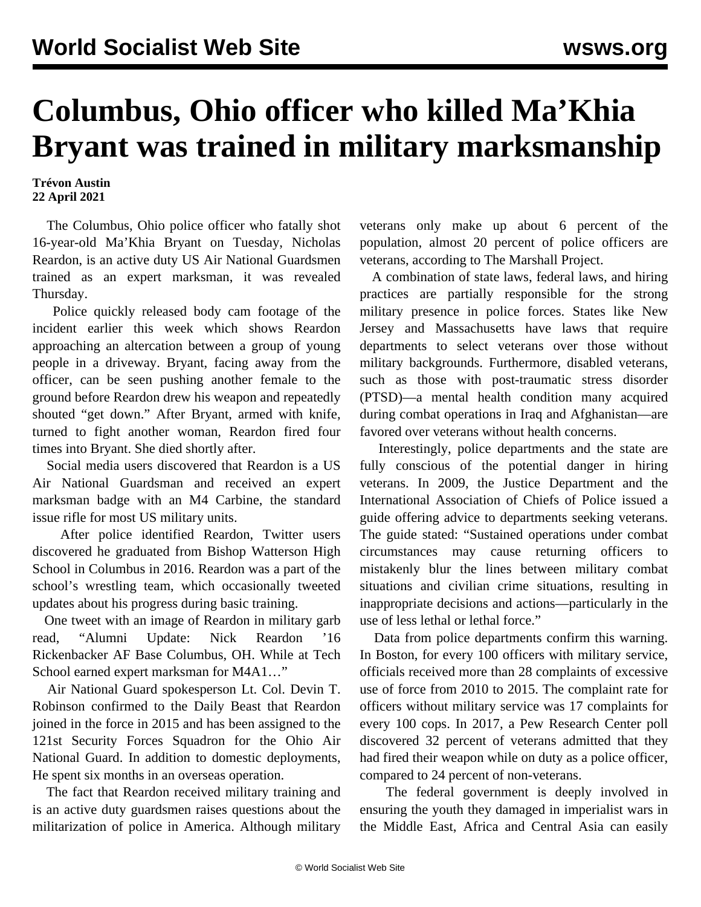## **Columbus, Ohio officer who killed Ma'Khia Bryant was trained in military marksmanship**

## **Trévon Austin 22 April 2021**

 The Columbus, Ohio police officer who fatally shot 16-year-old Ma'Khia Bryant on Tuesday, Nicholas Reardon, is an active duty US Air National Guardsmen trained as an expert marksman, it was revealed Thursday.

 Police quickly released body cam footage of the incident earlier this week which shows Reardon approaching an altercation between a group of young people in a driveway. Bryant, facing away from the officer, can be seen pushing another female to the ground before Reardon drew his weapon and repeatedly shouted "get down." After Bryant, armed with knife, turned to fight another woman, Reardon fired four times into Bryant. She died shortly after.

 Social media users discovered that Reardon is a US Air National Guardsman and received an expert marksman badge with an M4 Carbine, the standard issue rifle for most US military units.

 After police identified Reardon, Twitter users discovered he graduated from Bishop Watterson High School in Columbus in 2016. Reardon was a part of the school's wrestling team, which occasionally tweeted updates about his progress during basic training.

 One [tweet](https://twitter.com/WattyWrestling/status/823335277087326208?s=20) with an image of Reardon in military garb read, "Alumni Update: Nick Reardon '16 Rickenbacker AF Base Columbus, OH. While at Tech School earned expert marksman for M4A1…"

 Air National Guard spokesperson Lt. Col. Devin T. Robinson confirmed to the Daily Beast that Reardon joined in the force in 2015 and has been assigned to the 121st Security Forces Squadron for the Ohio Air National Guard. In addition to domestic deployments, He spent six months in an overseas operation.

 The fact that Reardon received military training and is an active duty guardsmen raises questions about the militarization of police in America. Although military veterans only make up about 6 percent of the population, almost 20 percent of police officers are veterans, according to The Marshall Project.

 A combination of state laws, federal laws, and hiring practices are partially responsible for the strong military presence in police forces. States like New Jersey and Massachusetts have laws that require departments to select veterans over those without military backgrounds. Furthermore, disabled veterans, such as those with post-traumatic stress disorder (PTSD)—a mental health condition many acquired during combat operations in Iraq and Afghanistan—are favored over veterans without health concerns.

 Interestingly, police departments and the state are fully conscious of the potential danger in hiring veterans. In 2009, the Justice Department and the International Association of Chiefs of Police issued a guide offering advice to departments seeking veterans. The guide stated: "Sustained operations under combat circumstances may cause returning officers to mistakenly blur the lines between military combat situations and civilian crime situations, resulting in inappropriate decisions and actions—particularly in the use of less lethal or lethal force."

 Data from police departments confirm this warning. In Boston, for every 100 officers with military service, officials received more than 28 complaints of excessive use of force from 2010 to 2015. The complaint rate for officers without military service was 17 complaints for every 100 cops. In 2017, a Pew Research Center poll discovered 32 percent of veterans admitted that they had fired their weapon while on duty as a police officer, compared to 24 percent of non-veterans.

 The federal government is deeply involved in ensuring the youth they damaged in imperialist wars in the Middle East, Africa and Central Asia can easily